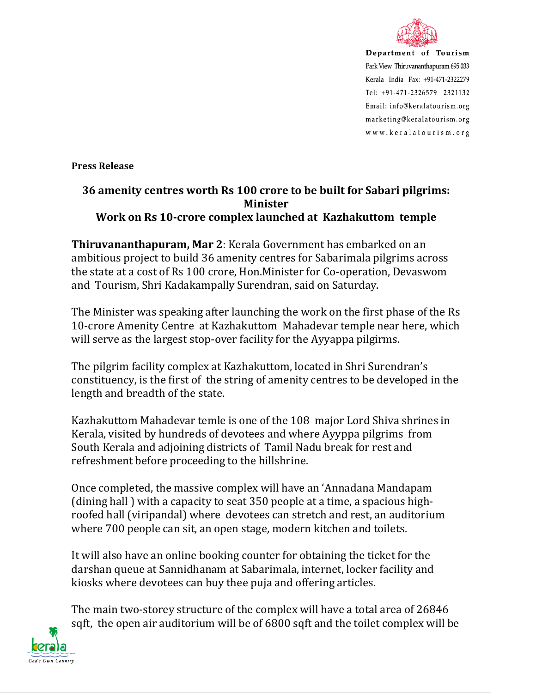

Department of Tourism Park View Thiruvananthapuram 695 033 Kerala India Fax: +91-471-2322279 Tel: +91-471-2326579 2321132 Email: info@keralatourism.org marketing@keralatourism.org www.keralatourism.org

**Press Release** 

## **36 amenity centres worth Rs 100 crore to be built for Sabari pilgrims: Minister Work on Rs 10-crore complex launched at Kazhakuttom temple**

**Thiruvananthapuram, Mar 2**: Kerala Government has embarked on an ambitious project to build 36 amenity centres for Sabarimala pilgrims across the state at a cost of Rs 100 crore, Hon.Minister for Co-operation, Devaswom and Tourism, Shri Kadakampally Surendran, said on Saturday.

The Minister was speaking after launching the work on the first phase of the Rs 10-crore Amenity Centre at Kazhakuttom Mahadevar temple near here, which will serve as the largest stop-over facility for the Ayyappa pilgirms.

The pilgrim facility complex at Kazhakuttom, located in Shri Surendran's constituency, is the first of the string of amenity centres to be developed in the length and breadth of the state.

Kazhakuttom Mahadevar temle is one of the 108 major Lord Shiva shrines in Kerala, visited by hundreds of devotees and where Ayyppa pilgrims from South Kerala and adjoining districts of Tamil Nadu break for rest and refreshment before proceeding to the hillshrine.

Once completed, the massive complex will have an 'Annadana Mandapam (dining hall ) with a capacity to seat 350 people at a time, a spacious highroofed hall (viripandal) where devotees can stretch and rest, an auditorium where 700 people can sit, an open stage, modern kitchen and toilets.

It will also have an online booking counter for obtaining the ticket for the darshan queue at Sannidhanam at Sabarimala, internet, locker facility and kiosks where devotees can buy thee puja and offering articles.

The main two-storey structure of the complex will have a total area of 26846 sqft, the open air auditorium will be of 6800 sqft and the toilet complex will be